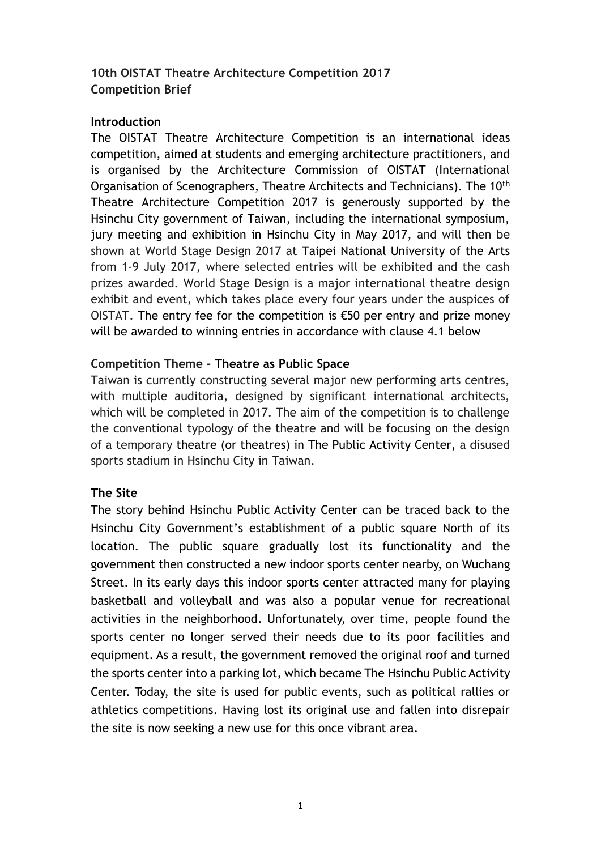# **10th OISTAT Theatre Architecture Competition 2017 Competition Brief**

### **Introduction**

The OISTAT Theatre Architecture Competition is an international ideas competition, aimed at students and emerging architecture practitioners, and is organised by the Architecture Commission of OISTAT (International Organisation of Scenographers, Theatre Architects and Technicians). The 10th Theatre Architecture Competition 2017 is generously supported by the Hsinchu City government of Taiwan, including the international symposium, jury meeting and exhibition in Hsinchu City in May 2017, and will then be shown at World Stage Design 2017 at Taipei National University of the Arts from 1-9 July 2017, where selected entries will be exhibited and the cash prizes awarded. World Stage Design is a major international theatre design exhibit and event, which takes place every four years under the auspices of OISTAT. The entry fee for the competition is  $\epsilon$ 50 per entry and prize money will be awarded to winning entries in accordance with clause 4.1 below

#### **Competition Theme - Theatre as Public Space**

Taiwan is currently constructing several major new performing arts centres, with multiple auditoria, designed by significant international architects, which will be completed in 2017. The aim of the competition is to challenge the conventional typology of the theatre and will be focusing on the design of a temporary theatre (or theatres) in The Public Activity Center, a disused sports stadium in Hsinchu City in Taiwan.

### **The Site**

The story behind Hsinchu Public Activity Center can be traced back to the Hsinchu City Government's establishment of a public square North of its location. The public square gradually lost its functionality and the government then constructed a new indoor sports center nearby, on Wuchang Street. In its early days this indoor sports center attracted many for playing basketball and volleyball and was also a popular venue for recreational activities in the neighborhood. Unfortunately, over time, people found the sports center no longer served their needs due to its poor facilities and equipment. As a result, the government removed the original roof and turned the sports center into a parking lot, which became The Hsinchu Public Activity Center. Today, the site is used for public events, such as political rallies or athletics competitions. Having lost its original use and fallen into disrepair the site is now seeking a new use for this once vibrant area.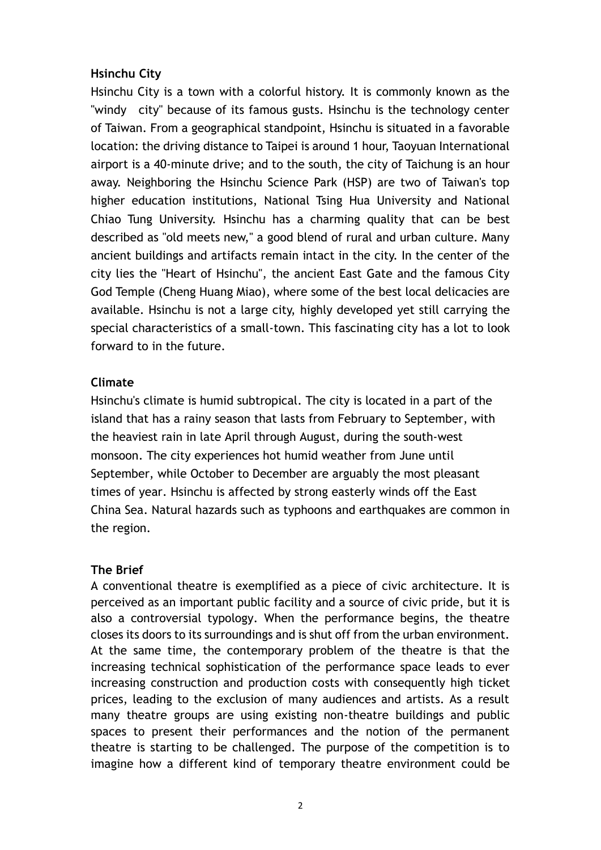### **Hsinchu City**

Hsinchu City is a town with a colorful history. It is commonly known as the "windy city" because of its famous gusts. Hsinchu is the technology center of Taiwan. From a geographical standpoint, Hsinchu is situated in a favorable location: the driving distance to Taipei is around 1 hour, Taoyuan International airport is a 40-minute drive; and to the south, the city of Taichung is an hour away. Neighboring the Hsinchu Science Park (HSP) are two of Taiwan's top higher education institutions, National Tsing Hua University and National Chiao Tung University. Hsinchu has a charming quality that can be best described as "old meets new," a good blend of rural and urban culture. Many ancient buildings and artifacts remain intact in the city. In the center of the city lies the "Heart of Hsinchu", the ancient East Gate and the famous City God Temple (Cheng Huang Miao), where some of the best local delicacies are available. Hsinchu is not a large city, highly developed yet still carrying the special characteristics of a small-town. This fascinating city has a lot to look forward to in the future.

#### **Climate**

Hsinchu's [climate](https://en.wikipedia.org/wiki/Climate) is [humid subtropical.](https://en.wikipedia.org/wiki/Humid_subtropical) The city is located in a part of the island that has a rainy season that lasts from February to September, with the heaviest rain in late April through August, during the south-west [monsoon.](https://en.wikipedia.org/wiki/Monsoon) The city experiences hot humid weather from June until September, while October to December are arguably the most pleasant times of year. Hsinchu is affected by strong easterly [winds](https://en.wikipedia.org/wiki/Wind) off the [East](https://en.wikipedia.org/wiki/East_China_Sea)  [China Sea.](https://en.wikipedia.org/wiki/East_China_Sea) Natural hazards such as [typhoons](https://en.wikipedia.org/wiki/Typhoon) and [earthquakes](https://en.wikipedia.org/wiki/Earthquake) are common in the region.

### **The Brief**

A conventional theatre is exemplified as a piece of civic architecture. It is perceived as an important public facility and a source of civic pride, but it is also a controversial typology. When the performance begins, the theatre closes its doors to its surroundings and is shut off from the urban environment. At the same time, the contemporary problem of the theatre is that the increasing technical sophistication of the performance space leads to ever increasing construction and production costs with consequently high ticket prices, leading to the exclusion of many audiences and artists. As a result many theatre groups are using existing non-theatre buildings and public spaces to present their performances and the notion of the permanent theatre is starting to be challenged. The purpose of the competition is to imagine how a different kind of temporary theatre environment could be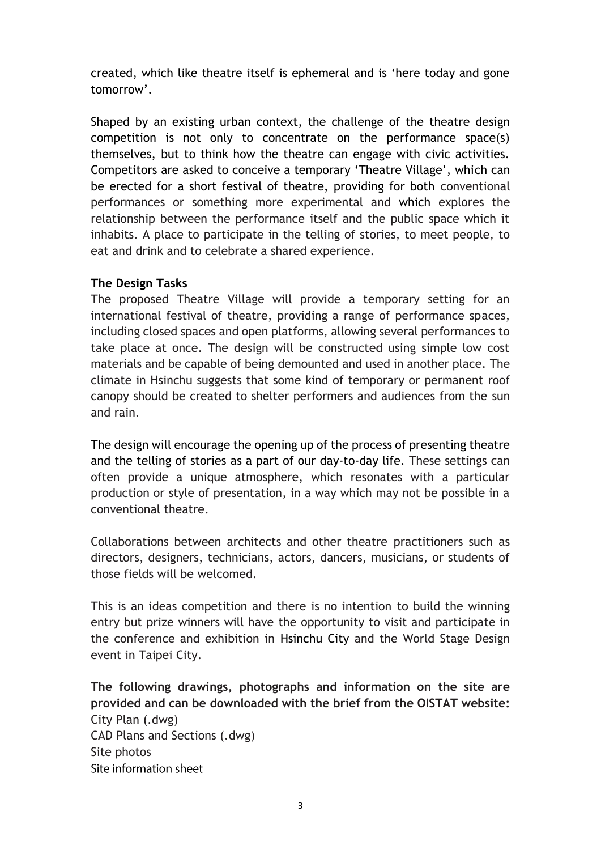created, which like theatre itself is ephemeral and is 'here today and gone tomorrow'.

Shaped by an existing urban context, the challenge of the theatre design competition is not only to concentrate on the performance space(s) themselves, but to think how the theatre can engage with civic activities. Competitors are asked to conceive a temporary 'Theatre Village', which can be erected for a short festival of theatre, providing for both conventional performances or something more experimental and which explores the relationship between the performance itself and the public space which it inhabits. A place to participate in the telling of stories, to meet people, to eat and drink and to celebrate a shared experience.

### **The Design Tasks**

The proposed Theatre Village will provide a temporary setting for an international festival of theatre, providing a range of performance spaces, including closed spaces and open platforms, allowing several performances to take place at once. The design will be constructed using simple low cost materials and be capable of being demounted and used in another place. The climate in Hsinchu suggests that some kind of temporary or permanent roof canopy should be created to shelter performers and audiences from the sun and rain.

The design will encourage the opening up of the process of presenting theatre and the telling of stories as a part of our day-to-day life. These settings can often provide a unique atmosphere, which resonates with a particular production or style of presentation, in a way which may not be possible in a conventional theatre.

Collaborations between architects and other theatre practitioners such as directors, designers, technicians, actors, dancers, musicians, or students of those fields will be welcomed.

This is an ideas competition and there is no intention to build the winning entry but prize winners will have the opportunity to visit and participate in the conference and exhibition in Hsinchu City and the World Stage Design event in Taipei City.

**The following drawings, photographs and information on the site are provided and can be downloaded with the brief from the OISTAT website:** City Plan (.dwg) CAD Plans and Sections (.dwg) Site photosSite information sheet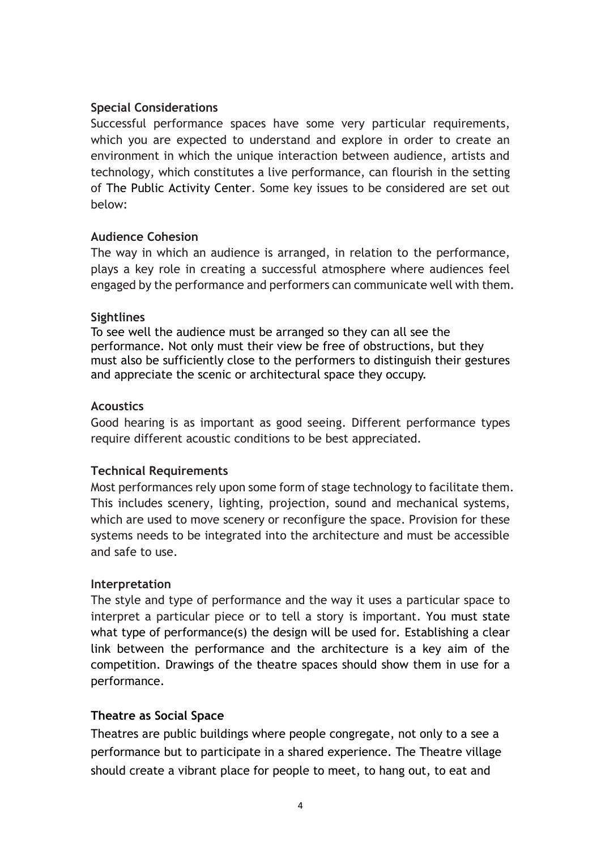### **Special Considerations**

Successful performance spaces have some very particular requirements, which you are expected to understand and explore in order to create an environment in which the unique interaction between audience, artists and technology, which constitutes a live performance, can flourish in the setting of The Public Activity Center. Some key issues to be considered are set out below:

#### **Audience Cohesion**

The way in which an audience is arranged, in relation to the performance, plays a key role in creating a successful atmosphere where audiences feel engaged by the performance and performers can communicate well with them.

#### **Sightlines**

To see well the audience must be arranged so they can all see the performance. Not only must their view be free of obstructions, but they must also be sufficiently close to the performers to distinguish their gestures and appreciate the scenic or architectural space they occupy.

#### **Acoustics**

Good hearing is as important as good seeing. Different performance types require different acoustic conditions to be best appreciated.

### **Technical Requirements**

Most performances rely upon some form of stage technology to facilitate them. This includes scenery, lighting, projection, sound and mechanical systems, which are used to move scenery or reconfigure the space. Provision for these systems needs to be integrated into the architecture and must be accessible and safe to use.

#### **Interpretation**

The style and type of performance and the way it uses a particular space to interpret a particular piece or to tell a story is important. You must state what type of performance(s) the design will be used for. Establishing a clear link between the performance and the architecture is a key aim of the competition. Drawings of the theatre spaces should show them in use for a performance.

### **Theatre as Social Space**

Theatres are public buildings where people congregate, not only to a see a performance but to participate in a shared experience. The Theatre village should create a vibrant place for people to meet, to hang out, to eat and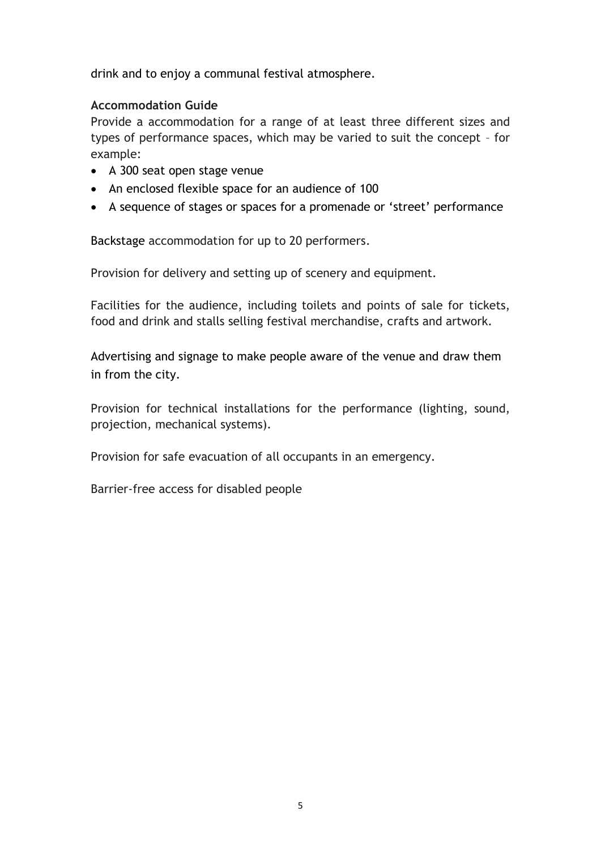drink and to enjoy a communal festival atmosphere.

## **Accommodation Guide**

Provide a accommodation for a range of at least three different sizes and types of performance spaces, which may be varied to suit the concept – for example:

- A 300 seat open stage venue
- An enclosed flexible space for an audience of 100
- A sequence of stages or spaces for a promenade or 'street' performance

Backstage accommodation for up to 20 performers.

Provision for delivery and setting up of scenery and equipment.

Facilities for the audience, including toilets and points of sale for tickets, food and drink and stalls selling festival merchandise, crafts and artwork.

Advertising and signage to make people aware of the venue and draw them in from the city.

Provision for technical installations for the performance (lighting, sound, projection, mechanical systems).

Provision for safe evacuation of all occupants in an emergency.

Barrier-free access for disabled people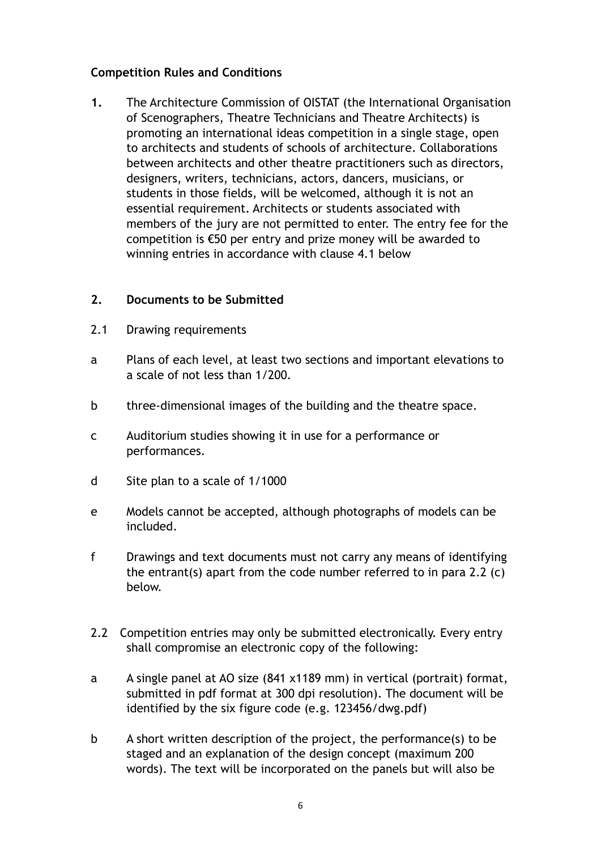### **Competition Rules and Conditions**

**1.** The Architecture Commission of OISTAT (the International Organisation of Scenographers, Theatre Technicians and Theatre Architects) is promoting an international ideas competition in a single stage, open to architects and students of schools of architecture. Collaborations between architects and other theatre practitioners such as directors, designers, writers, technicians, actors, dancers, musicians, or students in those fields, will be welcomed, although it is not an essential requirement. Architects or students associated with members of the jury are not permitted to enter. The entry fee for the competition is €50 per entry and prize money will be awarded to winning entries in accordance with clause 4.1 below

#### **2. Documents to be Submitted**

- 2.1 Drawing requirements
- a Plans of each level, at least two sections and important elevations to a scale of not less than 1/200.
- b three-dimensional images of the building and the theatre space.
- c Auditorium studies showing it in use for a performance or performances.
- d Site plan to a scale of 1/1000
- e Models cannot be accepted, although photographs of models can be included.
- f Drawings and text documents must not carry any means of identifying the entrant(s) apart from the code number referred to in para 2.2 (c) below.
- 2.2 Competition entries may only be submitted electronically. Every entry shall compromise an electronic copy of the following:
- a A single panel at AO size (841 x1189 mm) in vertical (portrait) format, submitted in pdf format at 300 dpi resolution). The document will be identified by the six figure code (e.g. 123456/dwg.pdf)
- b A short written description of the project, the performance(s) to be staged and an explanation of the design concept (maximum 200 words). The text will be incorporated on the panels but will also be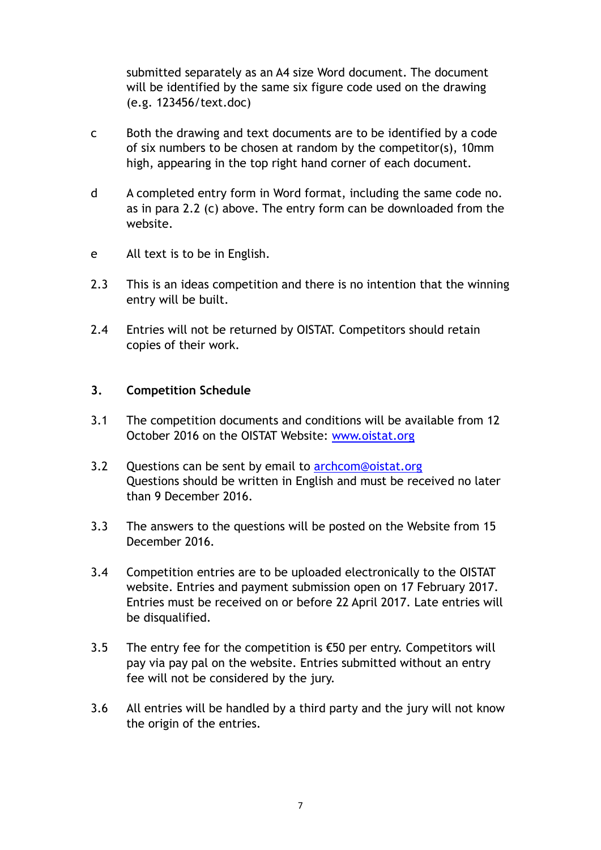submitted separately as an A4 size Word document. The document will be identified by the same six figure code used on the drawing (e.g. 123456/text.doc)

- c Both the drawing and text documents are to be identified by a code of six numbers to be chosen at random by the competitor(s), 10mm high, appearing in the top right hand corner of each document.
- d A completed entry form in Word format, including the same code no. as in para 2.2 (c) above. The entry form can be downloaded from the website.
- e All text is to be in English.
- 2.3 This is an ideas competition and there is no intention that the winning entry will be built.
- 2.4 Entries will not be returned by OISTAT. Competitors should retain copies of their work.

#### **3. Competition Schedule**

- 3.1 The competition documents and conditions will be available from 12 October 2016 on the OISTAT Website: [www.oistat.org](http://www.oistat.org/)
- 3.2 Questions can be sent by email to [archcom@oistat.org](mailto:archcom@oistat.org) Questions should be written in English and must be received no later than 9 December 2016.
- 3.3 The answers to the questions will be posted on the Website from 15 December 2016.
- 3.4 Competition entries are to be uploaded electronically to the OISTAT website. Entries and payment submission open on 17 February 2017. Entries must be received on or before 22 April 2017. Late entries will be disqualified.
- 3.5 The entry fee for the competition is  $\epsilon$ 50 per entry. Competitors will pay via pay pal on the website. Entries submitted without an entry fee will not be considered by the jury.
- 3.6 All entries will be handled by a third party and the jury will not know the origin of the entries.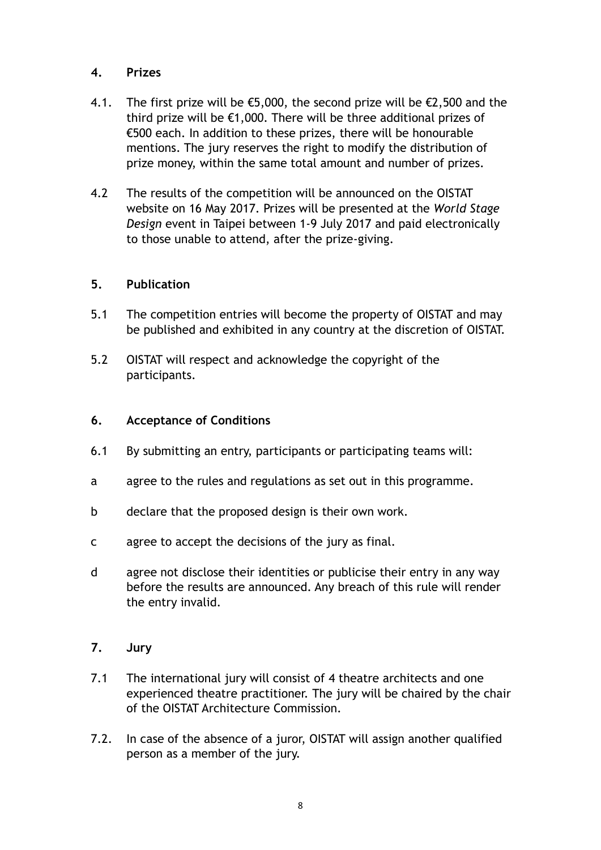## **4. Prizes**

- 4.1. The first prize will be €5,000, the second prize will be  $€2,500$  and the third prize will be €1,000. There will be three additional prizes of €500 each. In addition to these prizes, there will be honourable mentions. The jury reserves the right to modify the distribution of prize money, within the same total amount and number of prizes.
- 4.2 The results of the competition will be announced on the OISTAT website on 16 May 2017. Prizes will be presented at the *World Stage Design* event in Taipei between 1-9 July 2017 and paid electronically to those unable to attend, after the prize-giving.

## **5. Publication**

- 5.1 The competition entries will become the property of OISTAT and may be published and exhibited in any country at the discretion of OISTAT.
- 5.2 OISTAT will respect and acknowledge the copyright of the participants.

## **6. Acceptance of Conditions**

- 6.1 By submitting an entry, participants or participating teams will:
- a agree to the rules and regulations as set out in this programme.
- b declare that the proposed design is their own work.
- c agree to accept the decisions of the jury as final.
- d agree not disclose their identities or publicise their entry in any way before the results are announced. Any breach of this rule will render the entry invalid.

# **7. Jury**

- 7.1 The international jury will consist of 4 theatre architects and one experienced theatre practitioner. The jury will be chaired by the chair of the OISTAT Architecture Commission.
- 7.2. In case of the absence of a juror, OISTAT will assign another qualified person as a member of the jury.